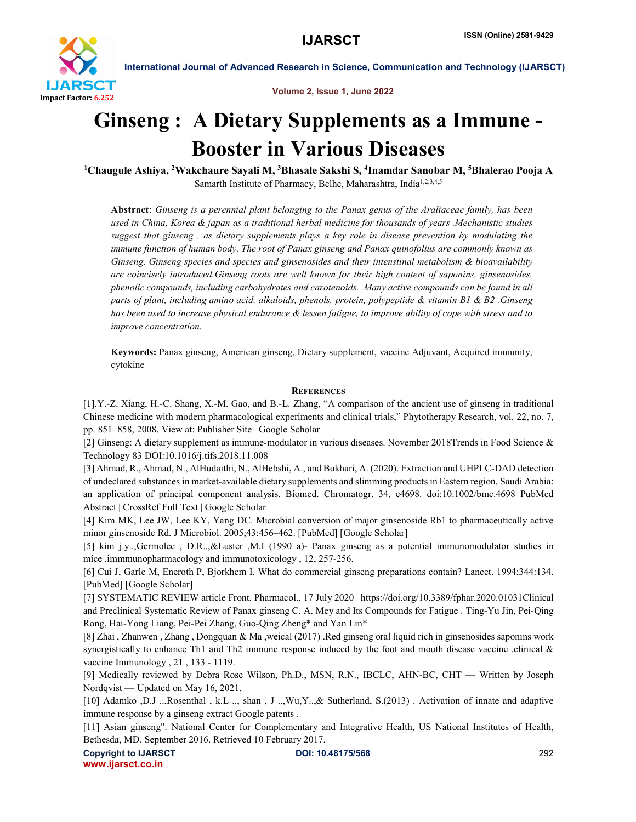

International Journal of Advanced Research in Science, Communication and Technology (IJARSCT)

Volume 2, Issue 1, June 2022

## Ginseng : A Dietary Supplements as a Immune - Booster in Various Diseases 1

Chaugule Ashiya, <sup>2</sup>Wakchaure Sayali M, <sup>3</sup>Bhasale Sakshi S, <sup>4</sup>Inamdar Sanobar M, <sup>5</sup>Bhalerao Pooja A Samarth Institute of Pharmacy, Belhe, Maharashtra, India<sup>1,2,3,4,5</sup>

Abstract: *Ginseng is a perennial plant belonging to the Panax genus of the Araliaceae family, has been used in China, Korea & japan as a traditional herbal medicine for thousands of years .Mechanistic studies suggest that ginseng , as dietary supplements plays a key role in disease prevention by modulating the immune function of human body. The root of Panax ginseng and Panax quinofolius are commonly known as Ginseng. Ginseng species and species and ginsenosides and their intenstinal metabolism & bioavailability are coincisely introduced.Ginseng roots are well known for their high content of saponins, ginsenosides, phenolic compounds, including carbohydrates and carotenoids. .Many active compounds can be found in all parts of plant, including amino acid, alkaloids, phenols, protein, polypeptide & vitamin B1 & B2 .Ginseng has been used to increase physical endurance & lessen fatigue, to improve ability of cope with stress and to improve concentration.*

Keywords: Panax ginseng, American ginseng, Dietary supplement, vaccine Adjuvant, Acquired immunity, cytokine

## **REFERENCES**

[1].Y.-Z. Xiang, H.-C. Shang, X.-M. Gao, and B.-L. Zhang, "A comparison of the ancient use of ginseng in traditional Chinese medicine with modern pharmacological experiments and clinical trials," Phytotherapy Research, vol. 22, no. 7, pp. 851–858, 2008. View at: Publisher Site | Google Scholar

[2] Ginseng: A dietary supplement as immune-modulator in various diseases. November 2018Trends in Food Science & Technology 83 DOI:10.1016/j.tifs.2018.11.008

[3] Ahmad, R., Ahmad, N., AlHudaithi, N., AlHebshi, A., and Bukhari, A. (2020). Extraction and UHPLC-DAD detection of undeclared substances in market-available dietary supplements and slimming products in Eastern region, Saudi Arabia: an application of principal component analysis. Biomed. Chromatogr. 34, e4698. doi:10.1002/bmc.4698 PubMed Abstract | CrossRef Full Text | Google Scholar

[4] Kim MK, Lee JW, Lee KY, Yang DC. Microbial conversion of major ginsenoside Rb1 to pharmaceutically active minor ginsenoside Rd. J Microbiol. 2005;43:456–462. [PubMed] [Google Scholar]

[5] kim j.y..,Germolec , D.R..,&Luster ,M.I (1990 a)- Panax ginseng as a potential immunomodulator studies in mice .immmunopharmacology and immunotoxicology , 12, 257-256.

[6] Cui J, Garle M, Eneroth P, Bjorkhem I. What do commercial ginseng preparations contain? Lancet. 1994;344:134. [PubMed] [Google Scholar]

[7] SYSTEMATIC REVIEW article Front. Pharmacol., 17 July 2020 | https://doi.org/10.3389/fphar.2020.01031Clinical and Preclinical Systematic Review of Panax ginseng C. A. Mey and Its Compounds for Fatigue . Ting-Yu Jin, Pei-Qing Rong, Hai-Yong Liang, Pei-Pei Zhang, Guo-Qing Zheng\* and Yan Lin\*

[8] Zhai , Zhanwen , Zhang , Dongquan & Ma ,weical (2017) .Red ginseng oral liquid rich in ginsenosides saponins work synergistically to enhance Th1 and Th2 immune response induced by the foot and mouth disease vaccine .clinical  $\&$ vaccine Immunology , 21 , 133 - 1119.

[9] Medically reviewed by Debra Rose Wilson, Ph.D., MSN, R.N., IBCLC, AHN-BC, CHT — Written by Joseph Nordqvist — Updated on May 16, 2021.

[10] Adamko ,D.J ..,Rosenthal , k.L .., shan , J ..,Wu,Y..,& Sutherland, S.(2013) . Activation of innate and adaptive immune response by a ginseng extract Google patents .

[11] Asian ginseng". National Center for Complementary and Integrative Health, US National Institutes of Health, Bethesda, MD. September 2016. Retrieved 10 February 2017.

Copyright to IJARSCT **DOI: 10.48175/568 292** www.ijarsct.co.in